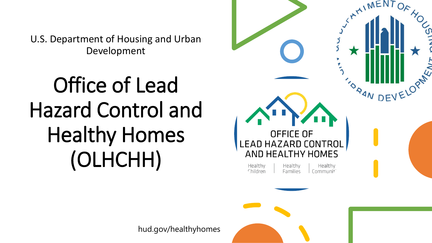U.S. Department of Housing and Urban Development

# Office of Lead Hazard Control and Healthy Homes (OLHCHH)

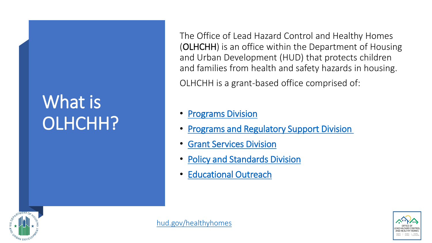# What is OLHCHH?

The Office of Lead Hazard Control and Healthy Homes (OLHCHH) is an office within the Department of Housing and Urban Development (HUD) that protects children and families from health and safety hazards in housing.

OLHCHH is a grant-based office comprised of:

### **[Programs Division](https://www.hud.gov/program_offices/healthy_homes/lbp/lhc)**

- [Programs and Regulatory Support Division](https://www.hud.gov/program_offices/healthy_homes/enforcement)
- **[Grant Services Division](https://www.hud.gov/program_offices/healthy_homes/GrantServices)**
- **[Policy and Standards Division](https://www.hud.gov/program_offices/healthy_homes/researchers)**
- [Educational Outreach](https://www.hud.gov/program_offices/healthy_homes/outreach_materials_publications)





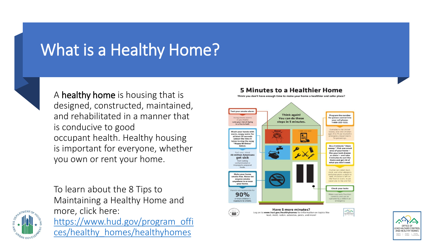### What is a Healthy Home?



A healthy home is housing that is designed, constructed, maintained, and rehabilitated in a manner that is conducive to good occupant health. Healthy housing is important for everyone, whether you own or rent your home.

To learn about the 8 Tips to Maintaining a Healthy Home and more, click here: [https://www.hud.gov/program\\_offi](https://www.hud.gov/program_offices/healthy_homes/healthyhomes) ces/healthy\_homes/healthyhomes

#### **5 Minutes to a Healthier Home**

Think you don't have enough time to make your home a healthier and safer place?





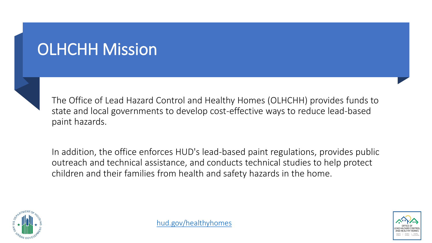# OLHCHH Mission



The Office of Lead Hazard Control and Healthy Homes (OLHCHH) provides funds to state and local governments to develop cost-effective ways to reduce lead-based paint hazards.

In addition, the office enforces HUD's lead-based paint regulations, provides public outreach and technical assistance, and conducts technical studies to help protect children and their families from health and safety hazards in the home.



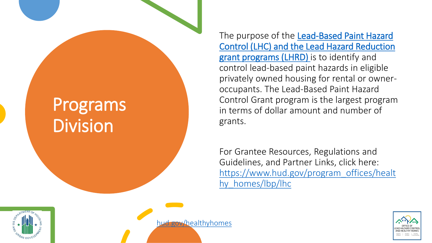# Programs Division

The purpose of the Lead-Based Paint Hazard [Control \(LHC\) and the Lead Hazard Reduction](https://www.hud.gov/program_offices/healthy_homes/lbp/lhc) grant programs (LHRD) is to identify and control lead-based paint hazards in eligible privately owned housing for rental or owneroccupants. The Lead-Based Paint Hazard Control Grant program is the largest program in terms of dollar amount and number of grants.

For Grantee Resources, Regulations and Guidelines, and Partner Links, click here: [https://www.hud.gov/program\\_offices/healt](https://www.hud.gov/program_offices/healthy_homes/lbp/lhc) hy homes/lbp/lhc



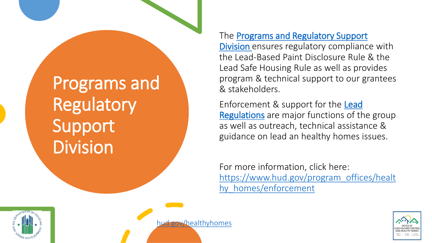Programs and Regulatory Support **Division** 

The **[Programs and Regulatory Support](https://www.hud.gov/program_offices/healthy_homes/enforcement)** 

Division ensures regulatory compliance with the Lead-Based Paint Disclosure Rule & the Lead Safe Housing Rule as well as provides program & technical support to our grantees & stakeholders.

[Enforcement & support for the](https://www.hud.gov/program_offices/healthy_homes/enforcement/regulations) Lead Regulations are major functions of the group as well as outreach, technical assistance & guidance on lead an healthy homes issues.

For more information, click here: [https://www.hud.gov/program\\_offices/healt](https://www.hud.gov/program_offices/healthy_homes/enforcement) hy homes/enforcement



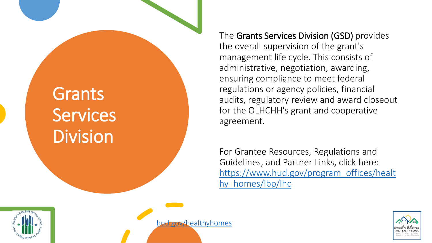# Grants **Services** Division

The Grants Services Division (GSD) provides the overall supervision of the grant's management life cycle. This consists of administrative, negotiation, awarding, ensuring compliance to meet federal regulations or agency policies, financial audits, regulatory review and award closeout for the OLHCHH's grant and cooperative agreement.

For Grantee Resources, Regulations and Guidelines, and Partner Links, click here: [https://www.hud.gov/program\\_offices/healt](https://www.hud.gov/program_offices/healthy_homes/lbp/lhc) hy homes/lbp/lhc



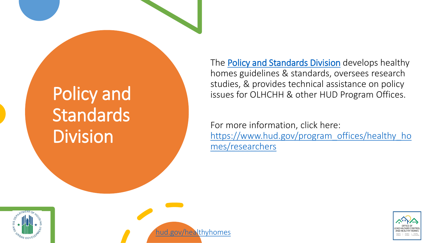# Policy and **Standards** Division

[hud.gov/healthyhomes](http://www.hud.gov/healthyhomes)

The **[Policy and Standards Division](https://www.hud.gov/program_offices/healthy_homes/researchers)** develops healthy homes guidelines & standards, oversees research studies, & provides technical assistance on policy issues for OLHCHH & other HUD Program Offices.

For more information, click here: [https://www.hud.gov/program\\_offices/healthy\\_ho](https://www.hud.gov/program_offices/healthy_homes/researchers) mes/researchers



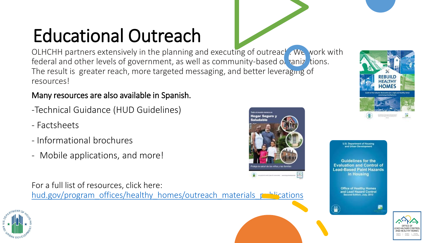# Educational Outreach

OLHCHH partners extensively in the planning and executing of outreach. We work with federal and other levels of government, as well as community-based or ranizations. The result is greater reach, more targeted messaging, and better leveraging of resources!

#### Many resources are also available in Spanish.

- -Technical Guidance (HUD Guidelines)
- Factsheets
- Informational brochures
- Mobile applications, and more!

For a full list of resources, click here: [hud.gov/program\\_offices/healthy\\_homes/outreach\\_materials\\_publications](hud.gov/program_offices/healthy_homes/outreach_materials_publications)





**U.S. Department of Housin** nd Urban Developmen

**Guidelines for the Evaluation and Control of Lead-Based Paint Hazards** in Housing

**Office of Healthy Homes** and Lead Hazard Control ond Edition, July, 2012



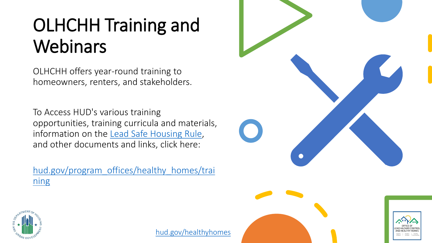# OLHCHH Training and **Webinars**

OLHCHH offers year-round training to homeowners, renters, and stakeholders.

To Access HUD's various training opportunities, training curricula and materials, information on the [Lead Safe Housing Rule,](https://www.hud.gov/program_offices/healthy_homes/enforcement/lshr) and other documents and links, click here:

[hud.gov/program\\_offices/healthy\\_homes/trai](hud.gov/program_offices/healthy_homes/training) ning







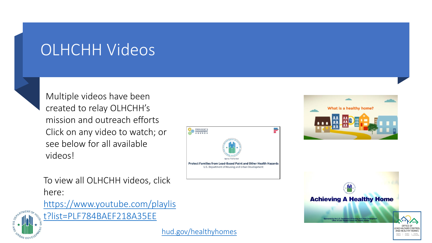### OLHCHH Videos

Multiple videos have been created to relay OLHCHH's mission and outreach efforts Click on any video to watch; or see below for all available videos!





[https://www.youtube.com/playlis](https://www.youtube.com/playlist?list=PLF784BAEF218A35EE)



t?list=PLF784BAEF218A35EE



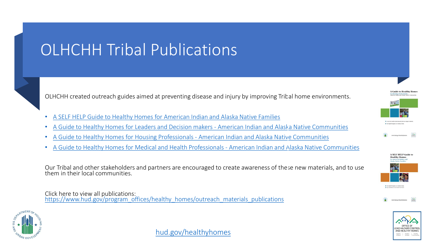# OLHCHH Tribal Publications

OLHCHH created outreach guides aimed at preventing disease and injury by improving Tribal home environments.

- [A SELF HELP Guide to Healthy Homes for American Indian and Alaska Native Families](https://www.hud.gov/sites/dfiles/HH/documents/AIAN-HHFamiliesFINAL1.pdf)
- [A Guide to Healthy Homes for Leaders and Decision makers -](https://www.hud.gov/sites/dfiles/HH/documents/Decisions%20makersFINAL1.pdf) American Indian and Alaska Native Communities
- [A Guide to Healthy Homes for Housing Professionals -](https://www.hud.gov/sites/dfiles/HH/documents/HHHousingProsFINAL1.pdf) American Indian and Alaska Native Communities
- [A Guide to Healthy Homes for Medical and Health Professionals -](https://www.hud.gov/sites/dfiles/HH/documents/HHMedicalFINAL1.pdf) American Indian and Alaska Native Communities

Our Tribal and other stakeholders and partners are encouraged to create awareness of these new materials, and to use them in their local communities.

Click here to view all publications: [https://www.hud.gov/program\\_offices/healthy\\_homes/outreach\\_materials\\_publications](https://www.hud.gov/program_offices/healthy_homes/outreach_materials_publications)









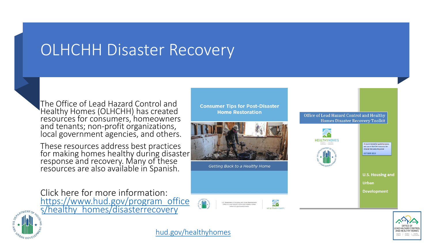### OLHCHH Disaster Recovery

The Office of Lead Hazard Control and Healthy Homes (OLHCHH) has created resources for consumers, homeowners and tenants; non-profit organizations, local government agencies, and others.

These resources address best practices for making homes healthy during disaster response and recovery. Many of these resources are also available in Spanish.

Click here for more information: [https://www.hud.gov/program\\_office](https://www.hud.gov/program_offices/healthy_homes/disasterrecovery) [s](http://www.hud.gov/)/healthy\_homes/disasterrecovery

I.S. Department of Housing and Urban Develop e of Lead Hazard Control and Healthy F

Getting Back to a Healthy Home

**Consumer Tips for Post-Disaster Home Restoration** 







Office of Lead Hazard Control and Healthy **Homes Disaster Recovery Toolkit** 



A recommendation guide to acces and use of OLHCHH resources fo **CTOBER 2015** 

**U.S. Housing and** 

Urban

Development





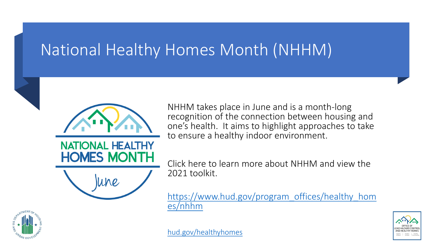### National Healthy Homes Month (NHHM)

NHHM takes place in June and is a month-long recognition of the connection between housing and one's health. It aims to highlight approaches to take to ensure a healthy indoor environment.

Click here to learn more about NHHM and view the 2021 toolkit.

[https://www.hud.gov/program\\_offices/healthy\\_hom](https://www.hud.gov/program_offices/healthy_homes/nhhm) es/nhhm



**NATIONAL** 

**HOMES MONTH** 

lune

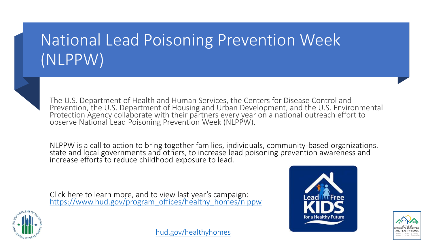# National Lead Poisoning Prevention Week (NLPPW)



The U.S. Department of Health and Human Services, the Centers for Disease Control and Prevention, the U.S. Department of Housing and Urban Development, and the U.S. Environmental Protection Agency collaborate with their partners every year on a national outreach effort to observe National Lead Poisoning Prevention Week (NLPPW).

NLPPW is a call to action to bring together families, individuals, community-based organizations. state and local governments and others, to increase lead poisoning prevention awareness and increase efforts to reduce childhood exposure to lead.

Click here to learn more, and to view last year's campaign: [https://www.hud.gov/program\\_offices/healthy\\_homes/nlppw](https://www.hud.gov/program_offices/healthy_homes/nlppw)